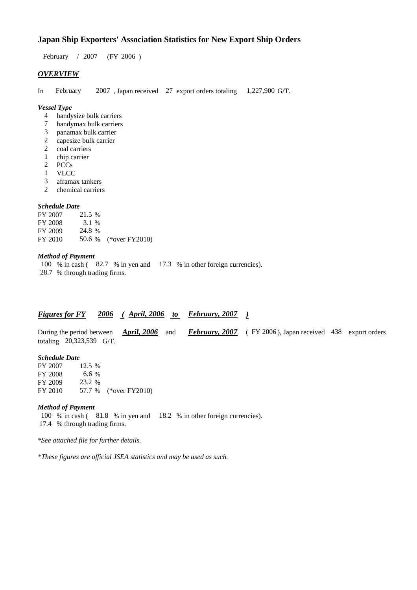# **Japan Ship Exporters' Association Statistics for New Export Ship Orders**

 $/ 2007$  (FY 2006) February / 2007

# *OVERVIEW*

In February 2007, Japan received 27 export orders totaling 1,227,900 G/T. 1,227,900 G/T.

#### *Vessel Type*

- handysize bulk carriers 4
- handymax bulk carriers 7
- panamax bulk carrier 3
- capesize bulk carrier 2
- coal carriers 2
- chip carrier 1
- PCCs 2
- VLCC 1
- aframax tankers 3
- chemical carriers 2

#### *Schedule Date*

FY 2007 FY 2008 FY 2009 FY 2010 50.6 % (\*over FY2010) 21.5 % 24.8 % 3.1 %

### *Method of Payment*

100 % in cash (82.7 % in yen and 17.3 % in other foreign currencies). % through trading firms. 28.7

## *Figures for FY* 2006 (April, 2006 to February, 2007)

During the period between *April, 2006* and *February, 2007* (FY 2006), Japan received 438 export orders totaling 20,323,539 G/T. *April, 2006*

#### *Schedule Date*

FY 2007 **FY 2008** FY 2009 FY 2010 57.7 % (\*over FY2010) 6.6 % 23.2 12.5 %

#### *Method of Payment*

100 % in cash (81.8 % in yen and 18.2 % in other foreign currencies). % through trading firms. 17.4

*\*See attached file for further details.*

*\*These figures are official JSEA statistics and may be used as such.*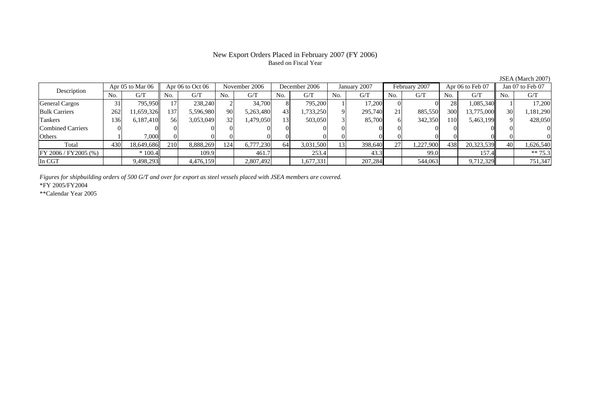### New Export Orders Placed in February 2007 (FY 2006) Based on Fiscal Year

FY 2006 / FY2005 (%)  $| * 100.4 | 109.9 | 461.7 | 253.4 | 43.3 | 99.0 | 157.4 | * 75.3$ In CGT 9,498,293 4,476,159 2,807,492 1,677,331 207,284 544,063 9,712,329 751,347

No. G/T No. G/T No. G/T No. G/T No. G/T No. G/T No. G/T No. G/TGeneral Cargos | 31| 795,950|| 17| 238,240| 2| 34,700| 8| 795,200| 1| 17,200| 0| 28| 1,085,340|| 1| 17,200 Bulk Carriers | 262 | 11,659,326 | 137 | 5,596,980 90 | 5,263,480 | 43 | 1,733,250 9 | 295,740 21 | 885,550 300 13,775,000 30 1,181,290 Tankers | 136| 6,187,410|| 56| 3,053,049| 32| 1,479,050| 13| 503,050| 3| 85,700| 6| 342,350| 110| 5,463,199|| 9| 428,050 Combined Carriers 0 0 0 0 0 0 0 0 0 0 0 0 0 0 0 0Others | 1 | 7,000 || 0 || 0 || 0 || 0 || 0 || 0 || 0 || 0 || 0 || 0 || 0 || 0 Total 430 18,649,686 210 8,888,269 124 6,777,230 64 3,031,500 13 398,640 27 1,227,900 438 20,323,539 40 1,626,540 Apr 05 to Mar 06 Apr 06 to Oct 06 November 2006 December 2006 January 2007 February 2007 Apr 06 to Feb 07 Jan 07 to Feb 07 Description

*Figures for shipbuilding orders of 500 G/T and over for export as steel vessels placed with JSEA members are covered.*

\*FY 2005/FY2004

\*\*Calendar Year 2005

JSEA (March 2007)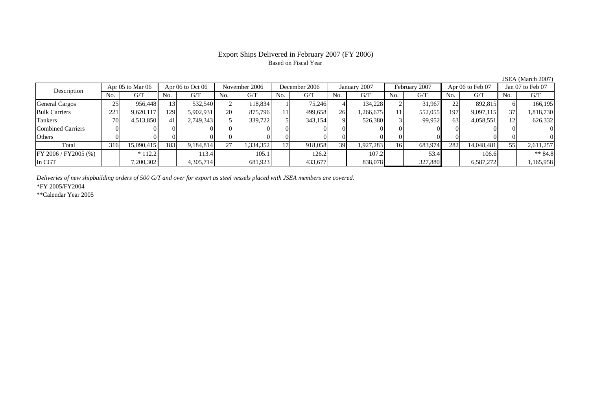# Based on Fiscal Year

No. I G/T II No. I G/T II No. I G/T II No. I G/T G/T II No. I G/T II No. I G/T II No. I G/T II No. I G/T II No  $\mathrm{G}/\mathrm{T}$ General Cargos ( 25 956,448 13 532,540 2 118,834 1 75,246 4 134,228 2 31,967 22 892,815 6 166,195 Bulk Carriers 221 9,620,117 129 5,902,931 20 875,796 11 499,658 26 1,266,675 11 552,055 197 9,097,115 37 1,818,730 Tankers 70 4,513,850 41 2,749,343 5 339,722 5 343,154 9 526,380 3 99,952 63 4,058,551 12 626,332 Combined Carriers 0 0 0 0 0 0 0 0 0 0 0 0 0 0 0 0Others | 0 | 0 | 0 | 0 | 0 | 0 | 0 | 0 | 0 | 0 | 0 | 0 Total 316 15,090,415 183 9,184,814 27 1,334,352 17 918,058 39 1,927,283 16 683,974 282 14,048,481 55 2,611,257 FY 2006 / FY2005 (%) \* 112.2 113.4 105.1 126.2 107.2 53.4 106.6 \*\* 84.8 In CGT | | 7,200,302 | | 4,305,714 | | 681,923 | | 433,677 | | 838,078 | | 327,880 | | 6,587,272 | | 1,165,958 Description Apr 05 to Mar 06 | Apr 06 to Oct 06 | November 2006 | December 2006 | January 2007 | February 2007 | Apr 06 to Feb 07 || Jan 07 to Feb 07

*Deliveries of new shipbuilding orders of 500 G/T and over for export as steel vessels placed with JSEA members are covered.*

\*FY 2005/FY2004

\*\*Calendar Year 2005

JSEA (March 2007)

# Export Ships Delivered in February 2007 (FY 2006)